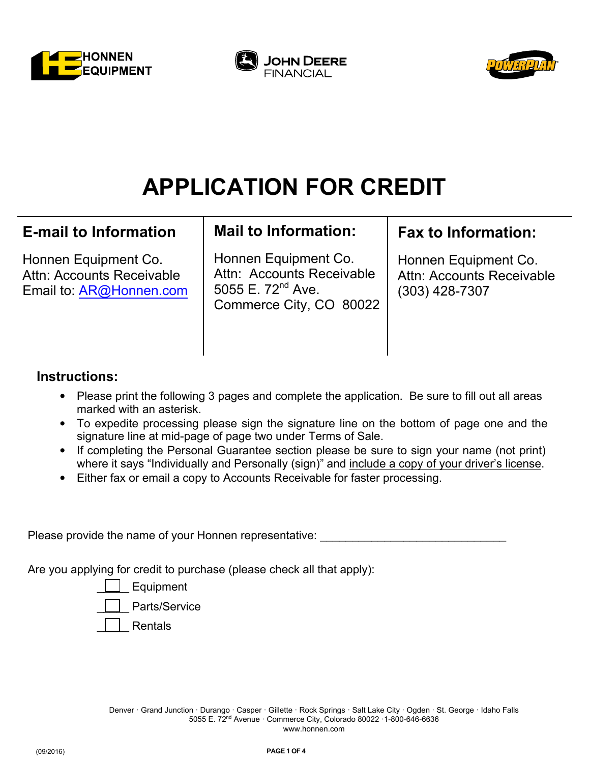





# **APPLICATION FOR CREDIT**

# **E-mail to Information**

Honnen Equipment Co. Attn: Accounts Receivable Email to: AR@Honnen.com

# **Mail to Information:**

Honnen Equipment Co. Attn: Accounts Receivable 5055 E.  $72^{nd}$  Ave. Commerce City, CO 80022

# **Fax to Information:**

Honnen Equipment Co. Attn: Accounts Receivable (303) 428-7307

### **Instructions:**

- Please print the following 3 pages and complete the application. Be sure to fill out all areas marked with an asterisk.
- To expedite processing please sign the signature line on the bottom of page one and the signature line at mid-page of page two under Terms of Sale.
- If completing the Personal Guarantee section please be sure to sign your name (not print) where it says "Individually and Personally (sign)" and include a copy of your driver's license.
- Either fax or email a copy to Accounts Receivable for faster processing.

Please provide the name of your Honnen representative:

Are you applying for credit to purchase (please check all that apply):

Equipment Parts/Service

\_\_\_\_\_ Rentals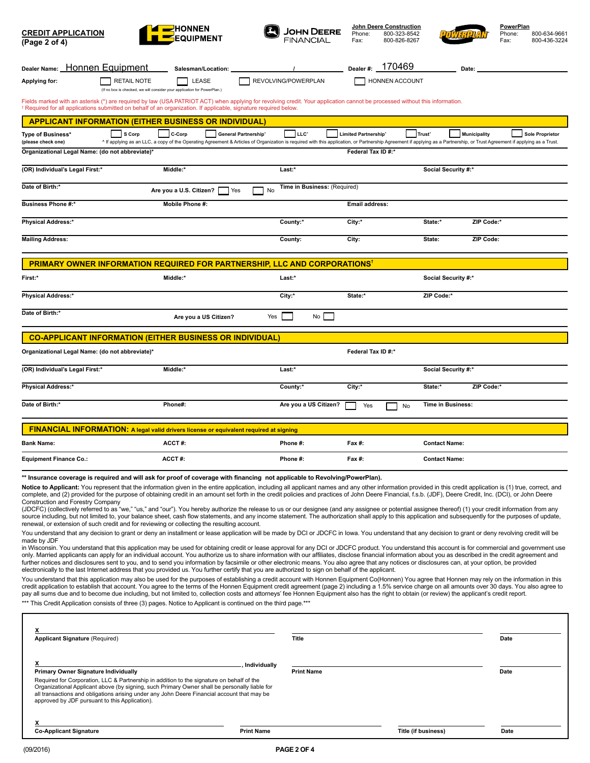| <b>CREDIT APPLICATION</b><br>(Page 2 of 4)                                                                                                                                                                                                                                                                                                                                                                                                                                                                                                                                                                                                                                                                                                                                                                                                                                                                                                                                                                                                                                                                                                                                                                                                                                                                                        | <del>Z</del> HONNEN                                                                                                                                                                                                                                                                                        | JOHN DEERE                   | <b>John Deere Construction</b><br>800-323-8542<br>Phone:<br>Fax:<br>800-826-8267 |                                           | PowerPlan<br>Phone:<br>800-634-9661<br>Fax:<br>800-436-3224 |  |  |
|-----------------------------------------------------------------------------------------------------------------------------------------------------------------------------------------------------------------------------------------------------------------------------------------------------------------------------------------------------------------------------------------------------------------------------------------------------------------------------------------------------------------------------------------------------------------------------------------------------------------------------------------------------------------------------------------------------------------------------------------------------------------------------------------------------------------------------------------------------------------------------------------------------------------------------------------------------------------------------------------------------------------------------------------------------------------------------------------------------------------------------------------------------------------------------------------------------------------------------------------------------------------------------------------------------------------------------------|------------------------------------------------------------------------------------------------------------------------------------------------------------------------------------------------------------------------------------------------------------------------------------------------------------|------------------------------|----------------------------------------------------------------------------------|-------------------------------------------|-------------------------------------------------------------|--|--|
| Dealer Name: Honnen Equipment                                                                                                                                                                                                                                                                                                                                                                                                                                                                                                                                                                                                                                                                                                                                                                                                                                                                                                                                                                                                                                                                                                                                                                                                                                                                                                     | Salesman/Location:                                                                                                                                                                                                                                                                                         |                              | 170469<br>Dealer#:                                                               | Date:                                     |                                                             |  |  |
| <b>RETAIL NOTE</b><br>Applying for:                                                                                                                                                                                                                                                                                                                                                                                                                                                                                                                                                                                                                                                                                                                                                                                                                                                                                                                                                                                                                                                                                                                                                                                                                                                                                               | LEASE<br>(If no box is checked, we will consider your application for PowerPlan.)                                                                                                                                                                                                                          | REVOLVING/POWERPLAN          | HONNEN ACCOUNT                                                                   |                                           |                                                             |  |  |
|                                                                                                                                                                                                                                                                                                                                                                                                                                                                                                                                                                                                                                                                                                                                                                                                                                                                                                                                                                                                                                                                                                                                                                                                                                                                                                                                   | Fields marked with an asterisk (*) are required by law (USA PATRIOT ACT) when applying for revolving credit. Your application cannot be processed without this information.<br><sup>†</sup> Required for all applications submitted on behalf of an organization. If applicable, signature required below. |                              |                                                                                  |                                           |                                                             |  |  |
| <b>APPLICANT INFORMATION (EITHER BUSINESS OR INDIVIDUAL)</b>                                                                                                                                                                                                                                                                                                                                                                                                                                                                                                                                                                                                                                                                                                                                                                                                                                                                                                                                                                                                                                                                                                                                                                                                                                                                      |                                                                                                                                                                                                                                                                                                            |                              |                                                                                  |                                           |                                                             |  |  |
| S Corp<br>Type of Business*<br>(please check one)                                                                                                                                                                                                                                                                                                                                                                                                                                                                                                                                                                                                                                                                                                                                                                                                                                                                                                                                                                                                                                                                                                                                                                                                                                                                                 | C-Corp<br>General Partnership <sup>*</sup><br>^ If applying as an LLC, a copy of the Operating Agreement & Articles of Organization is required with this application, or Partnership Agreement if applying as a Partnership, or Trust Agreement if applying as a Trust.                                   | LLC <sup>*</sup>             | <b>Limited Partnership</b> <sup>*</sup>                                          | Trust <sup>®</sup><br><b>Municipality</b> | <b>Sole Proprietor</b>                                      |  |  |
| Organizational Legal Name: (do not abbreviate)*                                                                                                                                                                                                                                                                                                                                                                                                                                                                                                                                                                                                                                                                                                                                                                                                                                                                                                                                                                                                                                                                                                                                                                                                                                                                                   |                                                                                                                                                                                                                                                                                                            |                              | Federal Tax ID #:*                                                               |                                           |                                                             |  |  |
| (OR) Individual's Legal First:*                                                                                                                                                                                                                                                                                                                                                                                                                                                                                                                                                                                                                                                                                                                                                                                                                                                                                                                                                                                                                                                                                                                                                                                                                                                                                                   | Middle:*                                                                                                                                                                                                                                                                                                   | Last:*                       |                                                                                  | Social Security #:*                       |                                                             |  |  |
| Date of Birth:*                                                                                                                                                                                                                                                                                                                                                                                                                                                                                                                                                                                                                                                                                                                                                                                                                                                                                                                                                                                                                                                                                                                                                                                                                                                                                                                   | Are you a U.S. Citizen?<br>Yes<br>No                                                                                                                                                                                                                                                                       | Time in Business: (Required) |                                                                                  |                                           |                                                             |  |  |
| <b>Business Phone #:*</b>                                                                                                                                                                                                                                                                                                                                                                                                                                                                                                                                                                                                                                                                                                                                                                                                                                                                                                                                                                                                                                                                                                                                                                                                                                                                                                         | Mobile Phone #:                                                                                                                                                                                                                                                                                            |                              | Email address:                                                                   |                                           |                                                             |  |  |
| <b>Physical Address:*</b>                                                                                                                                                                                                                                                                                                                                                                                                                                                                                                                                                                                                                                                                                                                                                                                                                                                                                                                                                                                                                                                                                                                                                                                                                                                                                                         |                                                                                                                                                                                                                                                                                                            | County:*                     | City:*                                                                           | ZIP Code:*<br>State:*                     |                                                             |  |  |
| <b>Mailing Address:</b>                                                                                                                                                                                                                                                                                                                                                                                                                                                                                                                                                                                                                                                                                                                                                                                                                                                                                                                                                                                                                                                                                                                                                                                                                                                                                                           |                                                                                                                                                                                                                                                                                                            | County:                      | City:                                                                            | ZIP Code:<br>State:                       |                                                             |  |  |
| PRIMARY OWNER INFORMATION REQUIRED FOR PARTNERSHIP, LLC AND CORPORATIONS'                                                                                                                                                                                                                                                                                                                                                                                                                                                                                                                                                                                                                                                                                                                                                                                                                                                                                                                                                                                                                                                                                                                                                                                                                                                         |                                                                                                                                                                                                                                                                                                            |                              |                                                                                  |                                           |                                                             |  |  |
| First:*                                                                                                                                                                                                                                                                                                                                                                                                                                                                                                                                                                                                                                                                                                                                                                                                                                                                                                                                                                                                                                                                                                                                                                                                                                                                                                                           | Middle:*                                                                                                                                                                                                                                                                                                   | Last:*                       |                                                                                  | <b>Social Security #:*</b>                |                                                             |  |  |
| <b>Physical Address:*</b>                                                                                                                                                                                                                                                                                                                                                                                                                                                                                                                                                                                                                                                                                                                                                                                                                                                                                                                                                                                                                                                                                                                                                                                                                                                                                                         |                                                                                                                                                                                                                                                                                                            | City:*                       | State:*                                                                          | ZIP Code:*                                |                                                             |  |  |
| Date of Birth:*                                                                                                                                                                                                                                                                                                                                                                                                                                                                                                                                                                                                                                                                                                                                                                                                                                                                                                                                                                                                                                                                                                                                                                                                                                                                                                                   | Are you a US Citizen?<br>Yes                                                                                                                                                                                                                                                                               | No <sub>1</sub>              |                                                                                  |                                           |                                                             |  |  |
| <b>CO-APPLICANT INFORMATION (EITHER BUSINESS OR INDIVIDUAL)</b>                                                                                                                                                                                                                                                                                                                                                                                                                                                                                                                                                                                                                                                                                                                                                                                                                                                                                                                                                                                                                                                                                                                                                                                                                                                                   |                                                                                                                                                                                                                                                                                                            |                              |                                                                                  |                                           |                                                             |  |  |
| Organizational Legal Name: (do not abbreviate)*                                                                                                                                                                                                                                                                                                                                                                                                                                                                                                                                                                                                                                                                                                                                                                                                                                                                                                                                                                                                                                                                                                                                                                                                                                                                                   |                                                                                                                                                                                                                                                                                                            |                              | Federal Tax ID #:*                                                               |                                           |                                                             |  |  |
| (OR) Individual's Legal First:*                                                                                                                                                                                                                                                                                                                                                                                                                                                                                                                                                                                                                                                                                                                                                                                                                                                                                                                                                                                                                                                                                                                                                                                                                                                                                                   | Middle:*                                                                                                                                                                                                                                                                                                   | Last:*                       |                                                                                  | <b>Social Security #:*</b>                |                                                             |  |  |
| <b>Physical Address:*</b>                                                                                                                                                                                                                                                                                                                                                                                                                                                                                                                                                                                                                                                                                                                                                                                                                                                                                                                                                                                                                                                                                                                                                                                                                                                                                                         |                                                                                                                                                                                                                                                                                                            | County:*                     | City:*                                                                           | ZIP Code:*<br>State:*                     |                                                             |  |  |
| Date of Birth:*                                                                                                                                                                                                                                                                                                                                                                                                                                                                                                                                                                                                                                                                                                                                                                                                                                                                                                                                                                                                                                                                                                                                                                                                                                                                                                                   | Phone#:                                                                                                                                                                                                                                                                                                    | Are you a US Citizen?        | Yes<br>No                                                                        | Time in Business:                         |                                                             |  |  |
| <b>FINANCIAL INFORMATION:</b> A legal valid drivers license or equivalent required at signing                                                                                                                                                                                                                                                                                                                                                                                                                                                                                                                                                                                                                                                                                                                                                                                                                                                                                                                                                                                                                                                                                                                                                                                                                                     |                                                                                                                                                                                                                                                                                                            |                              |                                                                                  |                                           |                                                             |  |  |
| <b>Bank Name:</b>                                                                                                                                                                                                                                                                                                                                                                                                                                                                                                                                                                                                                                                                                                                                                                                                                                                                                                                                                                                                                                                                                                                                                                                                                                                                                                                 | ACCT#:                                                                                                                                                                                                                                                                                                     | Phone #:                     | Fax #:                                                                           | <b>Contact Name:</b>                      |                                                             |  |  |
| <b>Equipment Finance Co.:</b>                                                                                                                                                                                                                                                                                                                                                                                                                                                                                                                                                                                                                                                                                                                                                                                                                                                                                                                                                                                                                                                                                                                                                                                                                                                                                                     | ACCT#:                                                                                                                                                                                                                                                                                                     | Phone #:                     | Fax #:                                                                           | <b>Contact Name:</b>                      |                                                             |  |  |
| ** Insurance coverage is required and will ask for proof of coverage with financing not applicable to Revolving/PowerPlan).<br>Notice to Applicant: You represent that the information given in the entire application, including all applicant names and any other information provided in this credit application is (1) true, correct, and<br>complete, and (2) provided for the purpose of obtaining credit in an amount set forth in the credit policies and practices of John Deere Financial, f.s.b. (JDF), Deere Credit, Inc. (DCI), or John Deere<br>Construction and Forestry Company<br>(JDCFC) (collectively referred to as "we," "us," and "our"). You hereby authorize the release to us or our designee (and any assignee or potential assignee thereof) (1) your credit information from any<br>source including, but not limited to, your balance sheet, cash flow statements, and any income statement. The authorization shall apply to this application and subsequently for the purposes of update,<br>renewal, or extension of such credit and for reviewing or collecting the resulting account.<br>You understand that any decision to grant or deny an installment or lease application will be made by DCI or JDCFC in Iowa. You understand that any decision to grant or deny revolving credit will be |                                                                                                                                                                                                                                                                                                            |                              |                                                                                  |                                           |                                                             |  |  |
| made by JDF<br>in Wisconsin. You understand that this application may be used for obtaining credit or lease approval for any DCI or JDCFC product. You understand this account is for commercial and government use<br>only. Married applicants can apply for an individual account. You authorize us to share information with our affiliates, disclose financial information about you as described in the credit agreement and<br>further notices and disclosures sent to you, and to send you information by facsimile or other electronic means. You also agree that any notices or disclosures can, at your option, be provided<br>electronically to the last Internet address that you provided us. You further certify that you are authorized to sign on behalf of the applicant.                                                                                                                                                                                                                                                                                                                                                                                                                                                                                                                                        |                                                                                                                                                                                                                                                                                                            |                              |                                                                                  |                                           |                                                             |  |  |

You understand that this application may also be used for the purposes of establishing a credit account with Honnen Equipment Co(Honnen) You agree that Honnen may rely on the information in this<br>credit application to estab \*\*\* This Credit Application consists of three (3) pages. Notice to Applicant is continued on the third page.\*\*\*

| <b>Applicant Signature (Required)</b>                                                                                                                                                                                                                                                                                                                                                                      | <b>Title</b>      |                            | Date |
|------------------------------------------------------------------------------------------------------------------------------------------------------------------------------------------------------------------------------------------------------------------------------------------------------------------------------------------------------------------------------------------------------------|-------------------|----------------------------|------|
| Individually<br><b>Primary Owner Signature Individually</b><br>Required for Corporation, LLC & Partnership in addition to the signature on behalf of the<br>Organizational Applicant above (by signing, such Primary Owner shall be personally liable for<br>all transactions and obligations arising under any John Deere Financial account that may be<br>approved by JDF pursuant to this Application). | <b>Print Name</b> |                            | Date |
| <b>Co-Applicant Signature</b><br><b>Print Name</b>                                                                                                                                                                                                                                                                                                                                                         |                   | <b>Title (if business)</b> | Date |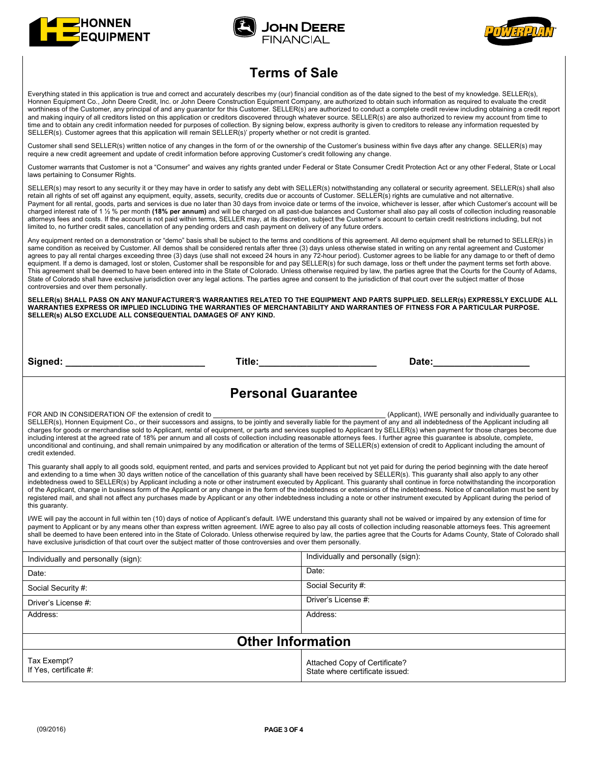





### **Terms of Sale**

Everything stated in this application is true and correct and accurately describes my (our) financial condition as of the date signed to the best of my knowledge. SELLER(s), Honnen Equipment Co., John Deere Credit, Inc. or John Deere Construction Equipment Company, are authorized to obtain such information as required to evaluate the credit worthiness of the Customer, any principal of and any quarantor for this Customer. SELLER(s) are authorized to conduct a complete credit review including obtaining a credit report and making inquiry of all creditors listed on this application or creditors discovered through whatever source. SELLER(s) are also authorized to review my account from time to time and to obtain any credit information needed for purposes of collection. By signing below, express authority is given to creditors to release any information requested by SELLER(s). Customer agrees that this application will remain SELLER(s)' property whether or not credit is granted.

Customer shall send SELLER(s) written notice of any changes in the form of or the ownership of the Customer's business within five days after any change. SELLER(s) may require a new credit agreement and update of credit information before approving Customer's credit following any change.

Customer warrants that Customer is not a "Consumer" and waives any rights granted under Federal or State Consumer Credit Protection Act or any other Federal, State or Local laws pertaining to Consumer Rights.

SELLER(s) may resort to any security it or they may have in order to satisfy any debt with SELLER(s) notwithstanding any collateral or security agreement. SELLER(s) shall also retain all rights of set off against any equipment, equity, assets, security, credits due or accounts of Customer. SELLER(s) rights are cumulative and not alternative. Payment for all rental, goods, parts and services is due no later than 30 days from invoice date or terms of the invoice, whichever is lesser, after which Customer's account will be charged interest rate of 1 ½ % per month **(18% per annum)** and will be charged on all past-due balances and Customer shall also pay all costs of collection including reasonable share you have been and costs. If the account is not paid within terms, SELLER may, at its discretion, subject the Customer's account to certain credit restrictions including, but not limited to, no further credit sales, cancellation of any pending orders and cash payment on delivery of any future orders.

Any equipment rented on a demonstration or "demo" basis shall be subject to the terms and conditions of this agreement. All demo equipment shall be returned to SELLER(s) in same condition as received by Customer. All demos shall be considered rentals after three (3) days unless otherwise stated in writing on any rental agreement and Customer agrees to pay all rental charges exceeding three (3) days (use shall not exceed 24 hours in any 72-hour period). Customer agrees to be liable for any damage to or theft of demo equipment. If a demo is damaged, lost or stolen, Customer shall be responsible for and pay SELLER(s) for such damage, loss or theft under the payment terms set forth above. This agreement shall be deemed to have been entered into in the State of Colorado. Unless otherwise required by law, the parties agree that the Courts for the County of Adams, State of Colorado shall have exclusive jurisdiction over any legal actions. The parties agree and consent to the jurisdiction of that court over the subject matter of those controversies and over them personally.

**SELLER(s) SHALL PASS ON ANY MANUFACTURER'S WARRANTIES RELATED TO THE EQUIPMENT AND PARTS SUPPLIED. SELLER(s) EXPRESSLY EXCLUDE ALL WARRANTIES EXPRESS OR IMPLIED INCLUDING THE WARRANTIES OF MERCHANTABILITY AND WARRANTIES OF FITNESS FOR A PARTICULAR PURPOSE. SELLER(s) ALSO EXCLUDE ALL CONSEQUENTIAL DAMAGES OF ANY KIND.** 

Signed: \_\_\_\_\_\_\_\_\_\_\_\_\_\_\_\_\_\_\_\_\_\_\_\_\_\_\_\_\_\_ Title:\_\_\_\_\_\_\_\_\_\_\_\_\_\_\_\_\_\_\_\_\_\_\_\_\_\_\_\_\_\_\_\_\_\_ Date:\_\_\_\_\_\_\_\_\_\_\_\_\_\_\_\_\_\_\_\_\_\_

### **Personal Guarantee**

FOR AND IN CONSIDERATION OF the extension of credit to **Extension of credit to Extension** of credit to **Extension** of credit to **Extension** of credit to **Extension** of credit to **EXEL ADD** And individually guarantee to SELLER(s), Honnen Equipment Co., or their successors and assigns, to be jointly and severally liable for the payment of any and all indebtedness of the Applicant including all charges for goods or merchandise sold to Applicant, rental of equipment, or parts and services supplied to Applicant by SELLER(s) when payment for those charges become due including interest at the agreed rate of 18% per annum and all costs of collection including reasonable attorneys fees. I further agree this guarantee is absolute, complete, unconditional and continuing, and shall remain unimpaired by any modification or alteration of the terms of SELLER(s) extension of credit to Applicant including the amount of credit extended.

This guaranty shall apply to all goods sold, equipment rented, and parts and services provided to Applicant but not yet paid for during the period beginning with the date hereof and extending to a time when 30 days written notice of the cancellation of this guaranty shall have been received by SELLER(s). This guaranty shall also apply to any other indebtedness owed to SELLER(s) by Applicant including a note or other instrument executed by Applicant. This guaranty shall continue in force notwithstanding the incorporation of the Applicant, change in business form of the Applicant or any change in the form of the indebtedness or extensions of the indebtedness. Notice of cancellation must be sent by registered mail, and shall not affect any purchases made by Applicant or any other indebtedness including a note or other instrument executed by Applicant during the period of this guaranty.

I/WE will pay the account in full within ten (10) days of notice of Applicant's default. I/WE understand this guaranty shall not be waived or impaired by any extension of time for payment to Applicant or by any means other than express written agreement. I/WE agree to also pay all costs of collection including reasonable attorneys fees. This agreement shall be deemed to have been entered into in the State of Colorado. Unless otherwise required by law, the parties agree that the Courts for Adams County, State of Colorado shall have exclusive jurisdiction of that court over the subject matter of those controversies and over them personally.

| Individually and personally (sign):   | Individually and personally (sign):                              |  |  |  |
|---------------------------------------|------------------------------------------------------------------|--|--|--|
| Date:                                 | Date:                                                            |  |  |  |
| Social Security #:                    | Social Security #:                                               |  |  |  |
| Driver's License #:                   | Driver's License #:                                              |  |  |  |
| Address:                              | Address:                                                         |  |  |  |
|                                       |                                                                  |  |  |  |
| <b>Other Information</b>              |                                                                  |  |  |  |
| Tax Exempt?<br>If Yes, certificate #: | Attached Copy of Certificate?<br>State where certificate issued: |  |  |  |